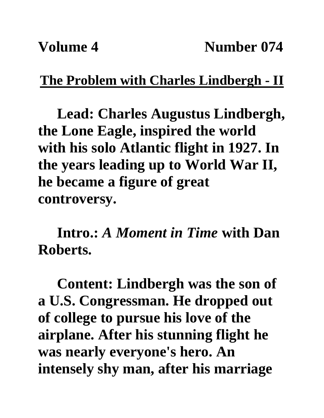## **The Problem with Charles Lindbergh - II**

**Lead: Charles Augustus Lindbergh, the Lone Eagle, inspired the world with his solo Atlantic flight in 1927. In the years leading up to World War II, he became a figure of great controversy.**

**Intro.:** *A Moment in Time* **with Dan Roberts.**

**Content: Lindbergh was the son of a U.S. Congressman. He dropped out of college to pursue his love of the airplane. After his stunning flight he was nearly everyone's hero. An intensely shy man, after his marriage**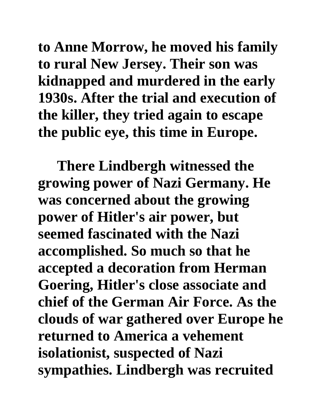**to Anne Morrow, he moved his family to rural New Jersey. Their son was kidnapped and murdered in the early 1930s. After the trial and execution of the killer, they tried again to escape the public eye, this time in Europe.** 

**There Lindbergh witnessed the growing power of Nazi Germany. He was concerned about the growing power of Hitler's air power, but seemed fascinated with the Nazi accomplished. So much so that he accepted a decoration from Herman Goering, Hitler's close associate and chief of the German Air Force. As the clouds of war gathered over Europe he returned to America a vehement isolationist, suspected of Nazi sympathies. Lindbergh was recruited**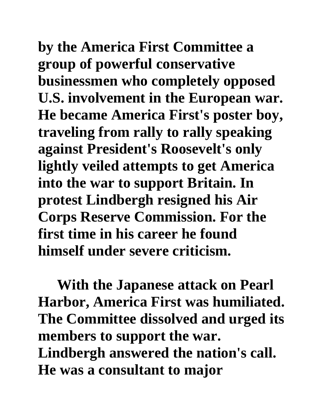**by the America First Committee a group of powerful conservative businessmen who completely opposed U.S. involvement in the European war. He became America First's poster boy, traveling from rally to rally speaking against President's Roosevelt's only lightly veiled attempts to get America into the war to support Britain. In protest Lindbergh resigned his Air Corps Reserve Commission. For the first time in his career he found himself under severe criticism.** 

**With the Japanese attack on Pearl Harbor, America First was humiliated. The Committee dissolved and urged its members to support the war. Lindbergh answered the nation's call. He was a consultant to major**